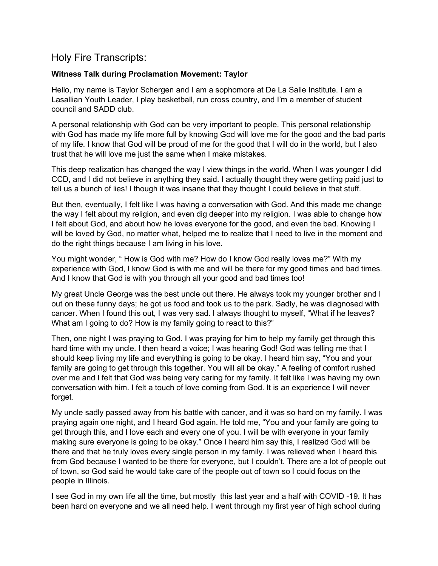# Holy Fire Transcripts:

## Witness Talk during Proclamation Movement: Taylor

Hello, my name is Taylor Schergen and I am a sophomore at De La Salle Institute. I am a Lasallian Youth Leader, I play basketball, run cross country, and I'm a member of student council and SADD club.

A personal relationship with God can be very important to people. This personal relationship with God has made my life more full by knowing God will love me for the good and the bad parts of my life. I know that God will be proud of me for the good that I will do in the world, but I also trust that he will love me just the same when I make mistakes.

This deep realization has changed the way I view things in the world. When I was younger I did CCD, and I did not believe in anything they said. I actually thought they were getting paid just to tell us a bunch of lies! I though it was insane that they thought I could believe in that stuff.

But then, eventually, I felt like I was having a conversation with God. And this made me change the way I felt about my religion, and even dig deeper into my religion. I was able to change how I felt about God, and about how he loves everyone for the good, and even the bad. Knowing I will be loved by God, no matter what, helped me to realize that I need to live in the moment and do the right things because I am living in his love.

You might wonder, " How is God with me? How do I know God really loves me?" With my experience with God, I know God is with me and will be there for my good times and bad times. And I know that God is with you through all your good and bad times too!

My great Uncle George was the best uncle out there. He always took my younger brother and I out on these funny days; he got us food and took us to the park. Sadly, he was diagnosed with cancer. When I found this out, I was very sad. I always thought to myself, "What if he leaves? What am I going to do? How is my family going to react to this?"

Then, one night I was praying to God. I was praying for him to help my family get through this hard time with my uncle. I then heard a voice; I was hearing God! God was telling me that I should keep living my life and everything is going to be okay. I heard him say, "You and your family are going to get through this together. You will all be okay." A feeling of comfort rushed over me and I felt that God was being very caring for my family. It felt like I was having my own conversation with him. I felt a touch of love coming from God. It is an experience I will never forget.

My uncle sadly passed away from his battle with cancer, and it was so hard on my family. I was praying again one night, and I heard God again. He told me, "You and your family are going to get through this, and I love each and every one of you. I will be with everyone in your family making sure everyone is going to be okay." Once I heard him say this, I realized God will be there and that he truly loves every single person in my family. I was relieved when I heard this from God because I wanted to be there for everyone, but I couldn't. There are a lot of people out of town, so God said he would take care of the people out of town so I could focus on the people in Illinois.

I see God in my own life all the time, but mostly this last year and a half with COVID -19. It has been hard on everyone and we all need help. I went through my first year of high school during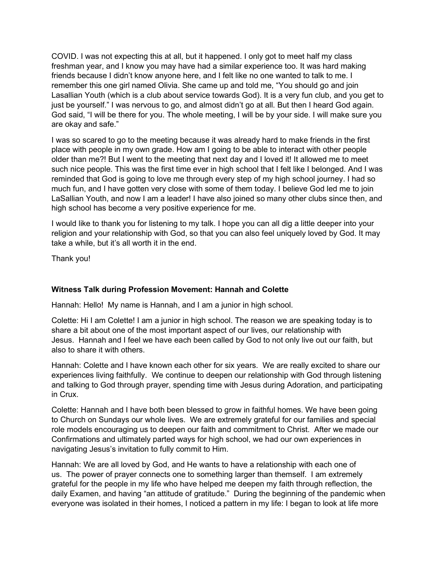COVID. I was not expecting this at all, but it happened. I only got to meet half my class freshman year, and I know you may have had a similar experience too. It was hard making friends because I didn't know anyone here, and I felt like no one wanted to talk to me. I remember this one girl named Olivia. She came up and told me, "You should go and join Lasallian Youth (which is a club about service towards God). It is a very fun club, and you get to just be yourself." I was nervous to go, and almost didn't go at all. But then I heard God again. God said, "I will be there for you. The whole meeting, I will be by your side. I will make sure you are okay and safe."

I was so scared to go to the meeting because it was already hard to make friends in the first place with people in my own grade. How am I going to be able to interact with other people older than me?! But I went to the meeting that next day and I loved it! It allowed me to meet such nice people. This was the first time ever in high school that I felt like I belonged. And I was reminded that God is going to love me through every step of my high school journey. I had so much fun, and I have gotten very close with some of them today. I believe God led me to join LaSallian Youth, and now I am a leader! I have also joined so many other clubs since then, and high school has become a very positive experience for me.

I would like to thank you for listening to my talk. I hope you can all dig a little deeper into your religion and your relationship with God, so that you can also feel uniquely loved by God. It may take a while, but it's all worth it in the end.

Thank you!

### Witness Talk during Profession Movement: Hannah and Colette

Hannah: Hello! My name is Hannah, and I am a junior in high school.

Colette: Hi I am Colette! I am a junior in high school. The reason we are speaking today is to share a bit about one of the most important aspect of our lives, our relationship with Jesus. Hannah and I feel we have each been called by God to not only live out our faith, but also to share it with others.

Hannah: Colette and I have known each other for six years. We are really excited to share our experiences living faithfully. We continue to deepen our relationship with God through listening and talking to God through prayer, spending time with Jesus during Adoration, and participating in Crux.

Colette: Hannah and I have both been blessed to grow in faithful homes. We have been going to Church on Sundays our whole lives. We are extremely grateful for our families and special role models encouraging us to deepen our faith and commitment to Christ. After we made our Confirmations and ultimately parted ways for high school, we had our own experiences in navigating Jesus's invitation to fully commit to Him.

Hannah: We are all loved by God, and He wants to have a relationship with each one of us. The power of prayer connects one to something larger than themself. I am extremely grateful for the people in my life who have helped me deepen my faith through reflection, the daily Examen, and having "an attitude of gratitude." During the beginning of the pandemic when everyone was isolated in their homes, I noticed a pattern in my life: I began to look at life more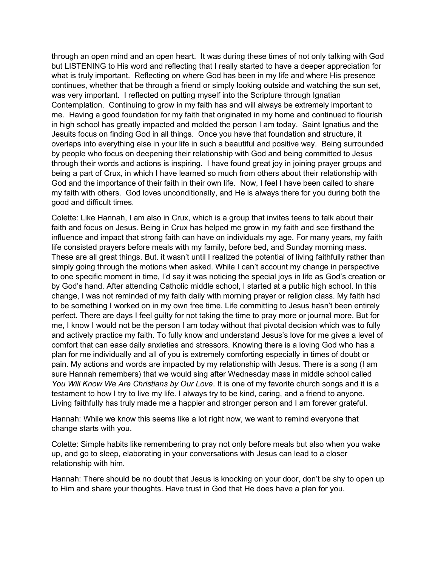through an open mind and an open heart. It was during these times of not only talking with God but LISTENING to His word and reflecting that I really started to have a deeper appreciation for what is truly important. Reflecting on where God has been in my life and where His presence continues, whether that be through a friend or simply looking outside and watching the sun set, was very important. I reflected on putting myself into the Scripture through Ignatian Contemplation. Continuing to grow in my faith has and will always be extremely important to me. Having a good foundation for my faith that originated in my home and continued to flourish in high school has greatly impacted and molded the person I am today. Saint Ignatius and the Jesuits focus on finding God in all things. Once you have that foundation and structure, it overlaps into everything else in your life in such a beautiful and positive way. Being surrounded by people who focus on deepening their relationship with God and being committed to Jesus through their words and actions is inspiring. I have found great joy in joining prayer groups and being a part of Crux, in which I have learned so much from others about their relationship with God and the importance of their faith in their own life. Now, I feel I have been called to share my faith with others. God loves unconditionally, and He is always there for you during both the good and difficult times.

Colette: Like Hannah, I am also in Crux, which is a group that invites teens to talk about their faith and focus on Jesus. Being in Crux has helped me grow in my faith and see firsthand the influence and impact that strong faith can have on individuals my age. For many years, my faith life consisted prayers before meals with my family, before bed, and Sunday morning mass. These are all great things. But. it wasn't until I realized the potential of living faithfully rather than simply going through the motions when asked. While I can't account my change in perspective to one specific moment in time, I'd say it was noticing the special joys in life as God's creation or by God's hand. After attending Catholic middle school, I started at a public high school. In this change, I was not reminded of my faith daily with morning prayer or religion class. My faith had to be something I worked on in my own free time. Life committing to Jesus hasn't been entirely perfect. There are days I feel guilty for not taking the time to pray more or journal more. But for me, I know I would not be the person I am today without that pivotal decision which was to fully and actively practice my faith. To fully know and understand Jesus's love for me gives a level of comfort that can ease daily anxieties and stressors. Knowing there is a loving God who has a plan for me individually and all of you is extremely comforting especially in times of doubt or pain. My actions and words are impacted by my relationship with Jesus. There is a song (I am sure Hannah remembers) that we would sing after Wednesday mass in middle school called You Will Know We Are Christians by Our Love. It is one of my favorite church songs and it is a testament to how I try to live my life. I always try to be kind, caring, and a friend to anyone. Living faithfully has truly made me a happier and stronger person and I am forever grateful.

Hannah: While we know this seems like a lot right now, we want to remind everyone that change starts with you.

Colette: Simple habits like remembering to pray not only before meals but also when you wake up, and go to sleep, elaborating in your conversations with Jesus can lead to a closer relationship with him.

Hannah: There should be no doubt that Jesus is knocking on your door, don't be shy to open up to Him and share your thoughts. Have trust in God that He does have a plan for you.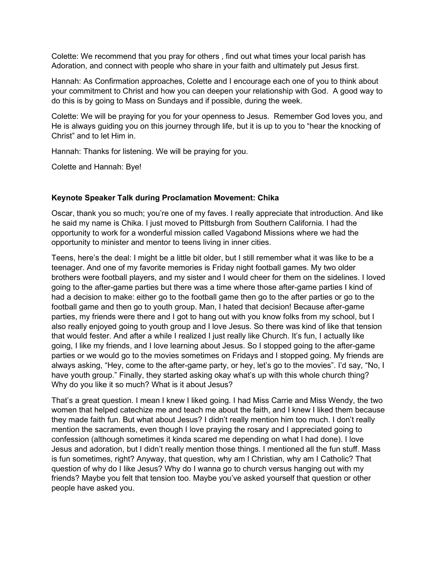Colette: We recommend that you pray for others , find out what times your local parish has Adoration, and connect with people who share in your faith and ultimately put Jesus first.

Hannah: As Confirmation approaches, Colette and I encourage each one of you to think about your commitment to Christ and how you can deepen your relationship with God. A good way to do this is by going to Mass on Sundays and if possible, during the week.

Colette: We will be praying for you for your openness to Jesus. Remember God loves you, and He is always guiding you on this journey through life, but it is up to you to "hear the knocking of Christ" and to let Him in.

Hannah: Thanks for listening. We will be praying for you.

Colette and Hannah: Bye!

### Keynote Speaker Talk during Proclamation Movement: Chika

Oscar, thank you so much; you're one of my faves. I really appreciate that introduction. And like he said my name is Chika. I just moved to Pittsburgh from Southern California. I had the opportunity to work for a wonderful mission called Vagabond Missions where we had the opportunity to minister and mentor to teens living in inner cities.

Teens, here's the deal: I might be a little bit older, but I still remember what it was like to be a teenager. And one of my favorite memories is Friday night football games. My two older brothers were football players, and my sister and I would cheer for them on the sidelines. I loved going to the after-game parties but there was a time where those after-game parties I kind of had a decision to make: either go to the football game then go to the after parties or go to the football game and then go to youth group. Man, I hated that decision! Because after-game parties, my friends were there and I got to hang out with you know folks from my school, but I also really enjoyed going to youth group and I love Jesus. So there was kind of like that tension that would fester. And after a while I realized I just really like Church. It's fun, I actually like going, I like my friends, and I love learning about Jesus. So I stopped going to the after-game parties or we would go to the movies sometimes on Fridays and I stopped going. My friends are always asking, "Hey, come to the after-game party, or hey, let's go to the movies". I'd say, "No, I have youth group." Finally, they started asking okay what's up with this whole church thing? Why do you like it so much? What is it about Jesus?

That's a great question. I mean I knew I liked going. I had Miss Carrie and Miss Wendy, the two women that helped catechize me and teach me about the faith, and I knew I liked them because they made faith fun. But what about Jesus? I didn't really mention him too much. I don't really mention the sacraments, even though I love praying the rosary and I appreciated going to confession (although sometimes it kinda scared me depending on what I had done). I love Jesus and adoration, but I didn't really mention those things. I mentioned all the fun stuff. Mass is fun sometimes, right? Anyway, that question, why am I Christian, why am I Catholic? That question of why do I like Jesus? Why do I wanna go to church versus hanging out with my friends? Maybe you felt that tension too. Maybe you've asked yourself that question or other people have asked you.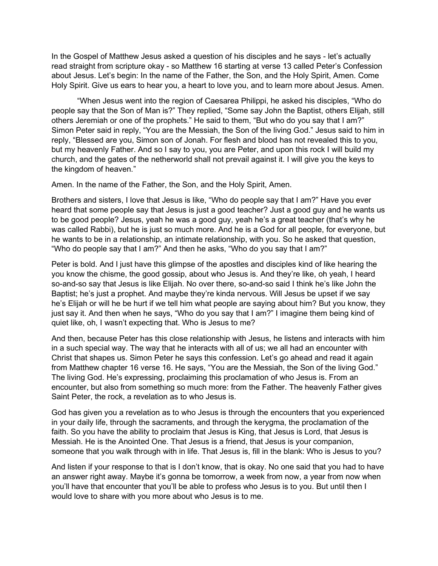In the Gospel of Matthew Jesus asked a question of his disciples and he says - let's actually read straight from scripture okay - so Matthew 16 starting at verse 13 called Peter's Confession about Jesus. Let's begin: In the name of the Father, the Son, and the Holy Spirit, Amen. Come Holy Spirit. Give us ears to hear you, a heart to love you, and to learn more about Jesus. Amen.

 "When Jesus went into the region of Caesarea Philippi, he asked his disciples, "Who do people say that the Son of Man is?" They replied, "Some say John the Baptist, others Elijah, still others Jeremiah or one of the prophets." He said to them, "But who do you say that I am?" Simon Peter said in reply, "You are the Messiah, the Son of the living God." Jesus said to him in reply, "Blessed are you, Simon son of Jonah. For flesh and blood has not revealed this to you, but my heavenly Father. And so I say to you, you are Peter, and upon this rock I will build my church, and the gates of the netherworld shall not prevail against it. I will give you the keys to the kingdom of heaven."

Amen. In the name of the Father, the Son, and the Holy Spirit, Amen.

Brothers and sisters, I love that Jesus is like, "Who do people say that I am?" Have you ever heard that some people say that Jesus is just a good teacher? Just a good guy and he wants us to be good people? Jesus, yeah he was a good guy, yeah he's a great teacher (that's why he was called Rabbi), but he is just so much more. And he is a God for all people, for everyone, but he wants to be in a relationship, an intimate relationship, with you. So he asked that question, "Who do people say that I am?" And then he asks, "Who do you say that I am?"

Peter is bold. And I just have this glimpse of the apostles and disciples kind of like hearing the you know the chisme, the good gossip, about who Jesus is. And they're like, oh yeah, I heard so-and-so say that Jesus is like Elijah. No over there, so-and-so said I think he's like John the Baptist; he's just a prophet. And maybe they're kinda nervous. Will Jesus be upset if we say he's Elijah or will he be hurt if we tell him what people are saying about him? But you know, they just say it. And then when he says, "Who do you say that I am?" I imagine them being kind of quiet like, oh, I wasn't expecting that. Who is Jesus to me?

And then, because Peter has this close relationship with Jesus, he listens and interacts with him in a such special way. The way that he interacts with all of us; we all had an encounter with Christ that shapes us. Simon Peter he says this confession. Let's go ahead and read it again from Matthew chapter 16 verse 16. He says, "You are the Messiah, the Son of the living God." The living God. He's expressing, proclaiming this proclamation of who Jesus is. From an encounter, but also from something so much more: from the Father. The heavenly Father gives Saint Peter, the rock, a revelation as to who Jesus is.

God has given you a revelation as to who Jesus is through the encounters that you experienced in your daily life, through the sacraments, and through the kerygma, the proclamation of the faith. So you have the ability to proclaim that Jesus is King, that Jesus is Lord, that Jesus is Messiah. He is the Anointed One. That Jesus is a friend, that Jesus is your companion, someone that you walk through with in life. That Jesus is, fill in the blank: Who is Jesus to you?

And listen if your response to that is I don't know, that is okay. No one said that you had to have an answer right away. Maybe it's gonna be tomorrow, a week from now, a year from now when you'll have that encounter that you'll be able to profess who Jesus is to you. But until then I would love to share with you more about who Jesus is to me.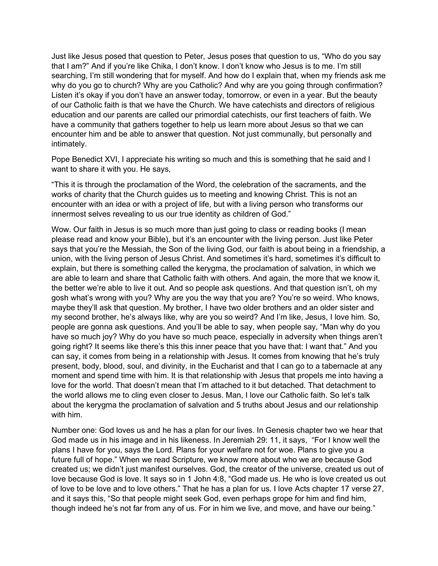Just like Jesus posed that question to Peter, Jesus poses that question to us, "Who do you say that I am?" And if you're like Chika, I don't know. I don't know who Jesus is to me. I'm still searching, I'm still wondering that for myself. And how do I explain that, when my friends ask me why do you go to church? Why are you Catholic? And why are you going through confirmation? Listen it's okay if you don't have an answer today, tomorrow, or even in a year. But the beauty of our Catholic faith is that we have the Church. We have catechists and directors of religious education and our parents are called our primordial catechists, our first teachers of faith. We have a community that gathers together to help us learn more about Jesus so that we can encounter him and be able to answer that question. Not just communally, but personally and intimately.

Pope Benedict XVI, I appreciate his writing so much and this is something that he said and I want to share it with you. He says,

"This it is through the proclamation of the Word, the celebration of the sacraments, and the works of charity that the Church guides us to meeting and knowing Christ. This is not an encounter with an idea or with a project of life, but with a living person who transforms our innermost selves revealing to us our true identity as children of God."

Wow. Our faith in Jesus is so much more than just going to class or reading books (I mean please read and know your Bible), but it's an encounter with the living person. Just like Peter says that you're the Messiah, the Son of the living God, our faith is about being in a friendship, a union, with the living person of Jesus Christ. And sometimes it's hard, sometimes it's difficult to explain, but there is something called the kerygma, the proclamation of salvation, in which we are able to learn and share that Catholic faith with others. And again, the more that we know it, the better we're able to live it out. And so people ask questions. And that question isn't, oh my gosh what's wrong with you? Why are you the way that you are? You're so weird. Who knows, maybe they'll ask that question. My brother, I have two older brothers and an older sister and my second brother, he's always like, why are you so weird? And I'm like, Jesus, I love him. So, people are gonna ask questions. And you'll be able to say, when people say, "Man why do you have so much joy? Why do you have so much peace, especially in adversity when things aren't going right? It seems like there's this this inner peace that you have that: I want that." And you can say, it comes from being in a relationship with Jesus. It comes from knowing that he's truly present, body, blood, soul, and divinity, in the Eucharist and that I can go to a tabernacle at any moment and spend time with him. It is that relationship with Jesus that propels me into having a love for the world. That doesn't mean that I'm attached to it but detached. That detachment to the world allows me to cling even closer to Jesus. Man, I love our Catholic faith. So let's talk about the kerygma the proclamation of salvation and 5 truths about Jesus and our relationship with him.

Number one: God loves us and he has a plan for our lives. In Genesis chapter two we hear that God made us in his image and in his likeness. In Jeremiah 29: 11, it says, "For I know well the plans I have for you, says the Lord. Plans for your welfare not for woe. Plans to give you a future full of hope." When we read Scripture, we know more about who we are because God created us; we didn't just manifest ourselves. God, the creator of the universe, created us out of love because God is love. It says so in 1 John 4:8, "God made us. He who is love created us out of love to be love and to love others." That he has a plan for us. I love Acts chapter 17 verse 27, and it says this, "So that people might seek God, even perhaps grope for him and find him, though indeed he's not far from any of us. For in him we live, and move, and have our being."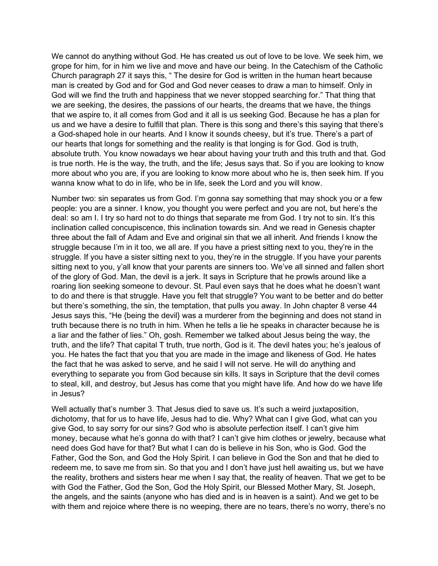We cannot do anything without God. He has created us out of love to be love. We seek him, we grope for him, for in him we live and move and have our being. In the Catechism of the Catholic Church paragraph 27 it says this, " The desire for God is written in the human heart because man is created by God and for God and God never ceases to draw a man to himself. Only in God will we find the truth and happiness that we never stopped searching for." That thing that we are seeking, the desires, the passions of our hearts, the dreams that we have, the things that we aspire to, it all comes from God and it all is us seeking God. Because he has a plan for us and we have a desire to fulfill that plan. There is this song and there's this saying that there's a God-shaped hole in our hearts. And I know it sounds cheesy, but it's true. There's a part of our hearts that longs for something and the reality is that longing is for God. God is truth, absolute truth. You know nowadays we hear about having your truth and this truth and that. God is true north. He is the way, the truth, and the life; Jesus says that. So if you are looking to know more about who you are, if you are looking to know more about who he is, then seek him. If you wanna know what to do in life, who be in life, seek the Lord and you will know.

Number two: sin separates us from God. I'm gonna say something that may shock you or a few people: you are a sinner. I know, you thought you were perfect and you are not, but here's the deal: so am I. I try so hard not to do things that separate me from God. I try not to sin. It's this inclination called concupiscence, this inclination towards sin. And we read in Genesis chapter three about the fall of Adam and Eve and original sin that we all inherit. And friends I know the struggle because I'm in it too, we all are. If you have a priest sitting next to you, they're in the struggle. If you have a sister sitting next to you, they're in the struggle. If you have your parents sitting next to you, y'all know that your parents are sinners too. We've all sinned and fallen short of the glory of God. Man, the devil is a jerk. It says in Scripture that he prowls around like a roaring lion seeking someone to devour. St. Paul even says that he does what he doesn't want to do and there is that struggle. Have you felt that struggle? You want to be better and do better but there's something, the sin, the temptation, that pulls you away. In John chapter 8 verse 44 Jesus says this, "He {being the devil} was a murderer from the beginning and does not stand in truth because there is no truth in him. When he tells a lie he speaks in character because he is a liar and the father of lies." Oh, gosh. Remember we talked about Jesus being the way, the truth, and the life? That capital T truth, true north, God is it. The devil hates you; he's jealous of you. He hates the fact that you that you are made in the image and likeness of God. He hates the fact that he was asked to serve, and he said I will not serve. He will do anything and everything to separate you from God because sin kills. It says in Scripture that the devil comes to steal, kill, and destroy, but Jesus has come that you might have life. And how do we have life in Jesus?

Well actually that's number 3. That Jesus died to save us. It's such a weird juxtaposition, dichotomy, that for us to have life, Jesus had to die. Why? What can I give God, what can you give God, to say sorry for our sins? God who is absolute perfection itself. I can't give him money, because what he's gonna do with that? I can't give him clothes or jewelry, because what need does God have for that? But what I can do is believe in his Son, who is God. God the Father, God the Son, and God the Holy Spirit. I can believe in God the Son and that he died to redeem me, to save me from sin. So that you and I don't have just hell awaiting us, but we have the reality, brothers and sisters hear me when I say that, the reality of heaven. That we get to be with God the Father, God the Son, God the Holy Spirit, our Blessed Mother Mary, St. Joseph, the angels, and the saints (anyone who has died and is in heaven is a saint). And we get to be with them and rejoice where there is no weeping, there are no tears, there's no worry, there's no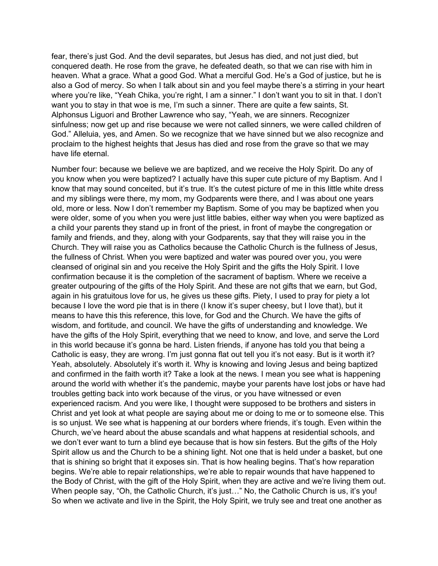fear, there's just God. And the devil separates, but Jesus has died, and not just died, but conquered death. He rose from the grave, he defeated death, so that we can rise with him in heaven. What a grace. What a good God. What a merciful God. He's a God of justice, but he is also a God of mercy. So when I talk about sin and you feel maybe there's a stirring in your heart where you're like, "Yeah Chika, you're right, I am a sinner." I don't want you to sit in that. I don't want you to stay in that woe is me, I'm such a sinner. There are quite a few saints, St. Alphonsus Liguori and Brother Lawrence who say, "Yeah, we are sinners. Recognizer sinfulness; now get up and rise because we were not called sinners, we were called children of God." Alleluia, yes, and Amen. So we recognize that we have sinned but we also recognize and proclaim to the highest heights that Jesus has died and rose from the grave so that we may have life eternal.

Number four: because we believe we are baptized, and we receive the Holy Spirit. Do any of you know when you were baptized? I actually have this super cute picture of my Baptism. And I know that may sound conceited, but it's true. It's the cutest picture of me in this little white dress and my siblings were there, my mom, my Godparents were there, and I was about one years old, more or less. Now I don't remember my Baptism. Some of you may be baptized when you were older, some of you when you were just little babies, either way when you were baptized as a child your parents they stand up in front of the priest, in front of maybe the congregation or family and friends, and they, along with your Godparents, say that they will raise you in the Church. They will raise you as Catholics because the Catholic Church is the fullness of Jesus, the fullness of Christ. When you were baptized and water was poured over you, you were cleansed of original sin and you receive the Holy Spirit and the gifts the Holy Spirit. I love confirmation because it is the completion of the sacrament of baptism. Where we receive a greater outpouring of the gifts of the Holy Spirit. And these are not gifts that we earn, but God, again in his gratuitous love for us, he gives us these gifts. Piety, I used to pray for piety a lot because I love the word pie that is in there (I know it's super cheesy, but I love that), but it means to have this this reference, this love, for God and the Church. We have the gifts of wisdom, and fortitude, and council. We have the gifts of understanding and knowledge. We have the gifts of the Holy Spirit, everything that we need to know, and love, and serve the Lord in this world because it's gonna be hard. Listen friends, if anyone has told you that being a Catholic is easy, they are wrong. I'm just gonna flat out tell you it's not easy. But is it worth it? Yeah, absolutely. Absolutely it's worth it. Why is knowing and loving Jesus and being baptized and confirmed in the faith worth it? Take a look at the news. I mean you see what is happening around the world with whether it's the pandemic, maybe your parents have lost jobs or have had troubles getting back into work because of the virus, or you have witnessed or even experienced racism. And you were like, I thought were supposed to be brothers and sisters in Christ and yet look at what people are saying about me or doing to me or to someone else. This is so unjust. We see what is happening at our borders where friends, it's tough. Even within the Church, we've heard about the abuse scandals and what happens at residential schools, and we don't ever want to turn a blind eye because that is how sin festers. But the gifts of the Holy Spirit allow us and the Church to be a shining light. Not one that is held under a basket, but one that is shining so bright that it exposes sin. That is how healing begins. That's how reparation begins. We're able to repair relationships, we're able to repair wounds that have happened to the Body of Christ, with the gift of the Holy Spirit, when they are active and we're living them out. When people say, "Oh, the Catholic Church, it's just..." No, the Catholic Church is us, it's you! So when we activate and live in the Spirit, the Holy Spirit, we truly see and treat one another as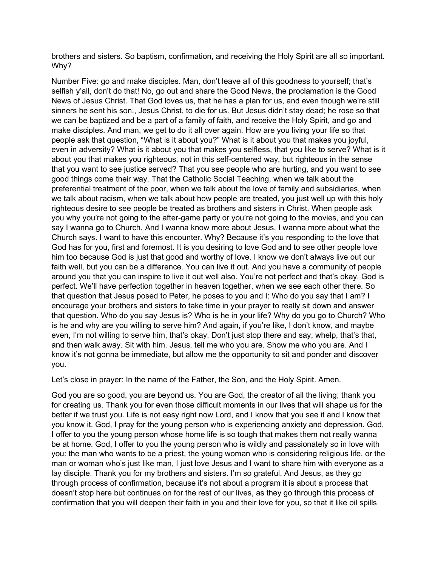brothers and sisters. So baptism, confirmation, and receiving the Holy Spirit are all so important. Why?

Number Five: go and make disciples. Man, don't leave all of this goodness to yourself; that's selfish y'all, don't do that! No, go out and share the Good News, the proclamation is the Good News of Jesus Christ. That God loves us, that he has a plan for us, and even though we're still sinners he sent his son,, Jesus Christ, to die for us. But Jesus didn't stay dead; he rose so that we can be baptized and be a part of a family of faith, and receive the Holy Spirit, and go and make disciples. And man, we get to do it all over again. How are you living your life so that people ask that question, "What is it about you?" What is it about you that makes you joyful, even in adversity? What is it about you that makes you selfless, that you like to serve? What is it about you that makes you righteous, not in this self-centered way, but righteous in the sense that you want to see justice served? That you see people who are hurting, and you want to see good things come their way. That the Catholic Social Teaching, when we talk about the preferential treatment of the poor, when we talk about the love of family and subsidiaries, when we talk about racism, when we talk about how people are treated, you just well up with this holy righteous desire to see people be treated as brothers and sisters in Christ. When people ask you why you're not going to the after-game party or you're not going to the movies, and you can say I wanna go to Church. And I wanna know more about Jesus. I wanna more about what the Church says. I want to have this encounter. Why? Because it's you responding to the love that God has for you, first and foremost. It is you desiring to love God and to see other people love him too because God is just that good and worthy of love. I know we don't always live out our faith well, but you can be a difference. You can live it out. And you have a community of people around you that you can inspire to live it out well also. You're not perfect and that's okay. God is perfect. We'll have perfection together in heaven together, when we see each other there. So that question that Jesus posed to Peter, he poses to you and I: Who do you say that I am? I encourage your brothers and sisters to take time in your prayer to really sit down and answer that question. Who do you say Jesus is? Who is he in your life? Why do you go to Church? Who is he and why are you willing to serve him? And again, if you're like, I don't know, and maybe even, I'm not willing to serve him, that's okay. Don't just stop there and say, whelp, that's that, and then walk away. Sit with him. Jesus, tell me who you are. Show me who you are. And I know it's not gonna be immediate, but allow me the opportunity to sit and ponder and discover you.

Let's close in prayer: In the name of the Father, the Son, and the Holy Spirit. Amen.

God you are so good, you are beyond us. You are God, the creator of all the living; thank you for creating us. Thank you for even those difficult moments in our lives that will shape us for the better if we trust you. Life is not easy right now Lord, and I know that you see it and I know that you know it. God, I pray for the young person who is experiencing anxiety and depression. God, I offer to you the young person whose home life is so tough that makes them not really wanna be at home. God, I offer to you the young person who is wildly and passionately so in love with you: the man who wants to be a priest, the young woman who is considering religious life, or the man or woman who's just like man, I just love Jesus and I want to share him with everyone as a lay disciple. Thank you for my brothers and sisters. I'm so grateful. And Jesus, as they go through process of confirmation, because it's not about a program it is about a process that doesn't stop here but continues on for the rest of our lives, as they go through this process of confirmation that you will deepen their faith in you and their love for you, so that it like oil spills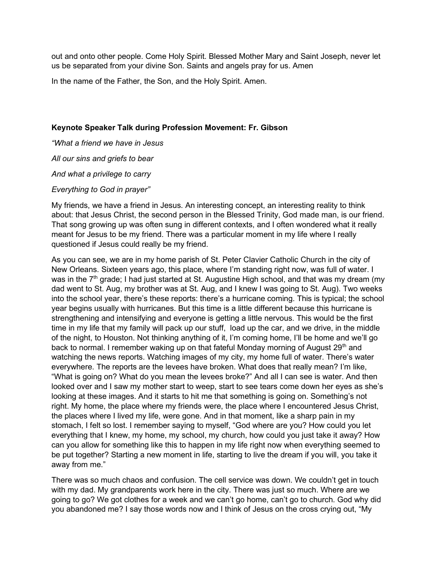out and onto other people. Come Holy Spirit. Blessed Mother Mary and Saint Joseph, never let us be separated from your divine Son. Saints and angels pray for us. Amen

In the name of the Father, the Son, and the Holy Spirit. Amen.

#### Keynote Speaker Talk during Profession Movement: Fr. Gibson

"What a friend we have in Jesus All our sins and griefs to bear And what a privilege to carry

#### Everything to God in prayer"

My friends, we have a friend in Jesus. An interesting concept, an interesting reality to think about: that Jesus Christ, the second person in the Blessed Trinity, God made man, is our friend. That song growing up was often sung in different contexts, and I often wondered what it really meant for Jesus to be my friend. There was a particular moment in my life where I really questioned if Jesus could really be my friend.

As you can see, we are in my home parish of St. Peter Clavier Catholic Church in the city of New Orleans. Sixteen years ago, this place, where I'm standing right now, was full of water. I was in the  $7<sup>th</sup>$  grade; I had just started at St. Augustine High school, and that was my dream (my dad went to St. Aug, my brother was at St. Aug, and I knew I was going to St. Aug). Two weeks into the school year, there's these reports: there's a hurricane coming. This is typical; the school year begins usually with hurricanes. But this time is a little different because this hurricane is strengthening and intensifying and everyone is getting a little nervous. This would be the first time in my life that my family will pack up our stuff, load up the car, and we drive, in the middle of the night, to Houston. Not thinking anything of it, I'm coming home, I'll be home and we'll go back to normal. I remember waking up on that fateful Monday morning of August 29<sup>th</sup> and watching the news reports. Watching images of my city, my home full of water. There's water everywhere. The reports are the levees have broken. What does that really mean? I'm like, "What is going on? What do you mean the levees broke?" And all I can see is water. And then looked over and I saw my mother start to weep, start to see tears come down her eyes as she's looking at these images. And it starts to hit me that something is going on. Something's not right. My home, the place where my friends were, the place where I encountered Jesus Christ, the places where I lived my life, were gone. And in that moment, like a sharp pain in my stomach, I felt so lost. I remember saying to myself, "God where are you? How could you let everything that I knew, my home, my school, my church, how could you just take it away? How can you allow for something like this to happen in my life right now when everything seemed to be put together? Starting a new moment in life, starting to live the dream if you will, you take it away from me."

There was so much chaos and confusion. The cell service was down. We couldn't get in touch with my dad. My grandparents work here in the city. There was just so much. Where are we going to go? We got clothes for a week and we can't go home, can't go to church. God why did you abandoned me? I say those words now and I think of Jesus on the cross crying out, "My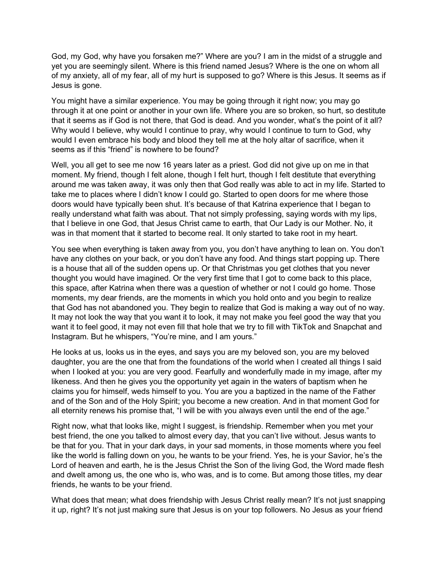God, my God, why have you forsaken me?" Where are you? I am in the midst of a struggle and yet you are seemingly silent. Where is this friend named Jesus? Where is the one on whom all of my anxiety, all of my fear, all of my hurt is supposed to go? Where is this Jesus. It seems as if Jesus is gone.

You might have a similar experience. You may be going through it right now; you may go through it at one point or another in your own life. Where you are so broken, so hurt, so destitute that it seems as if God is not there, that God is dead. And you wonder, what's the point of it all? Why would I believe, why would I continue to pray, why would I continue to turn to God, why would I even embrace his body and blood they tell me at the holy altar of sacrifice, when it seems as if this "friend" is nowhere to be found?

Well, you all get to see me now 16 years later as a priest. God did not give up on me in that moment. My friend, though I felt alone, though I felt hurt, though I felt destitute that everything around me was taken away, it was only then that God really was able to act in my life. Started to take me to places where I didn't know I could go. Started to open doors for me where those doors would have typically been shut. It's because of that Katrina experience that I began to really understand what faith was about. That not simply professing, saying words with my lips, that I believe in one God, that Jesus Christ came to earth, that Our Lady is our Mother. No, it was in that moment that it started to become real. It only started to take root in my heart.

You see when everything is taken away from you, you don't have anything to lean on. You don't have any clothes on your back, or you don't have any food. And things start popping up. There is a house that all of the sudden opens up. Or that Christmas you get clothes that you never thought you would have imagined. Or the very first time that I got to come back to this place, this space, after Katrina when there was a question of whether or not I could go home. Those moments, my dear friends, are the moments in which you hold onto and you begin to realize that God has not abandoned you. They begin to realize that God is making a way out of no way. It may not look the way that you want it to look, it may not make you feel good the way that you want it to feel good, it may not even fill that hole that we try to fill with TikTok and Snapchat and Instagram. But he whispers, "You're mine, and I am yours."

He looks at us, looks us in the eyes, and says you are my beloved son, you are my beloved daughter, you are the one that from the foundations of the world when I created all things I said when I looked at you: you are very good. Fearfully and wonderfully made in my image, after my likeness. And then he gives you the opportunity yet again in the waters of baptism when he claims you for himself, weds himself to you. You are you a baptized in the name of the Father and of the Son and of the Holy Spirit; you become a new creation. And in that moment God for all eternity renews his promise that, "I will be with you always even until the end of the age."

Right now, what that looks like, might I suggest, is friendship. Remember when you met your best friend, the one you talked to almost every day, that you can't live without. Jesus wants to be that for you. That in your dark days, in your sad moments, in those moments where you feel like the world is falling down on you, he wants to be your friend. Yes, he is your Savior, he's the Lord of heaven and earth, he is the Jesus Christ the Son of the living God, the Word made flesh and dwelt among us, the one who is, who was, and is to come. But among those titles, my dear friends, he wants to be your friend.

What does that mean; what does friendship with Jesus Christ really mean? It's not just snapping it up, right? It's not just making sure that Jesus is on your top followers. No Jesus as your friend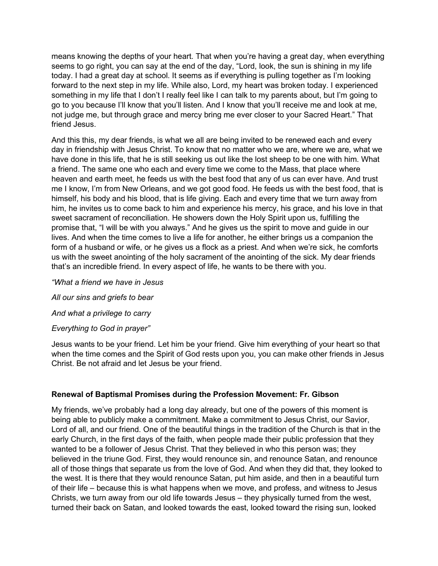means knowing the depths of your heart. That when you're having a great day, when everything seems to go right, you can say at the end of the day, "Lord, look, the sun is shining in my life today. I had a great day at school. It seems as if everything is pulling together as I'm looking forward to the next step in my life. While also, Lord, my heart was broken today. I experienced something in my life that I don't I really feel like I can talk to my parents about, but I'm going to go to you because I'll know that you'll listen. And I know that you'll receive me and look at me, not judge me, but through grace and mercy bring me ever closer to your Sacred Heart." That friend Jesus.

And this this, my dear friends, is what we all are being invited to be renewed each and every day in friendship with Jesus Christ. To know that no matter who we are, where we are, what we have done in this life, that he is still seeking us out like the lost sheep to be one with him. What a friend. The same one who each and every time we come to the Mass, that place where heaven and earth meet, he feeds us with the best food that any of us can ever have. And trust me I know, I'm from New Orleans, and we got good food. He feeds us with the best food, that is himself, his body and his blood, that is life giving. Each and every time that we turn away from him, he invites us to come back to him and experience his mercy, his grace, and his love in that sweet sacrament of reconciliation. He showers down the Holy Spirit upon us, fulfilling the promise that, "I will be with you always." And he gives us the spirit to move and guide in our lives. And when the time comes to live a life for another, he either brings us a companion the form of a husband or wife, or he gives us a flock as a priest. And when we're sick, he comforts us with the sweet anointing of the holy sacrament of the anointing of the sick. My dear friends that's an incredible friend. In every aspect of life, he wants to be there with you.

"What a friend we have in Jesus All our sins and griefs to bear And what a privilege to carry Everything to God in prayer"

Jesus wants to be your friend. Let him be your friend. Give him everything of your heart so that when the time comes and the Spirit of God rests upon you, you can make other friends in Jesus Christ. Be not afraid and let Jesus be your friend.

### Renewal of Baptismal Promises during the Profession Movement: Fr. Gibson

My friends, we've probably had a long day already, but one of the powers of this moment is being able to publicly make a commitment. Make a commitment to Jesus Christ, our Savior, Lord of all, and our friend. One of the beautiful things in the tradition of the Church is that in the early Church, in the first days of the faith, when people made their public profession that they wanted to be a follower of Jesus Christ. That they believed in who this person was; they believed in the triune God. First, they would renounce sin, and renounce Satan, and renounce all of those things that separate us from the love of God. And when they did that, they looked to the west. It is there that they would renounce Satan, put him aside, and then in a beautiful turn of their life – because this is what happens when we move, and profess, and witness to Jesus Christs, we turn away from our old life towards Jesus – they physically turned from the west, turned their back on Satan, and looked towards the east, looked toward the rising sun, looked